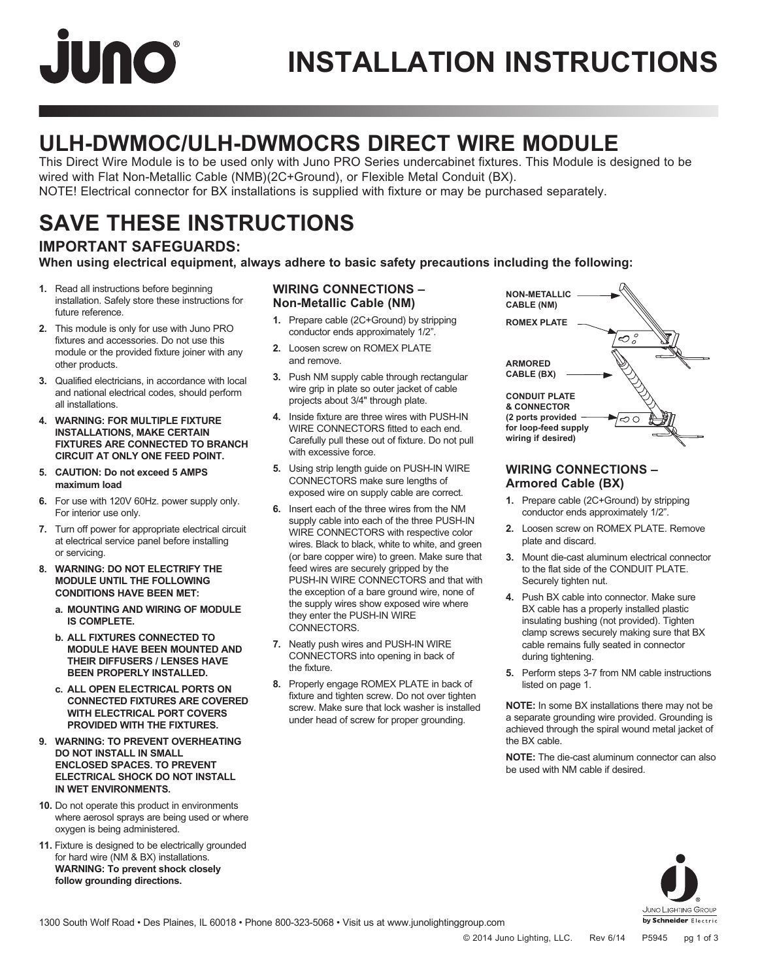# **JUNO**

## **INSTALLATION INSTRUCTIONS**

### **ULH-DWMOC/ULH-DWMOCRS DIRECT WIRE MODULE**

This Direct Wire Module is to be used only with Juno PRO Series undercabinet fixtures. This Module is designed to be wired with Flat Non-Metallic Cable (NMB)(2C+Ground), or Flexible Metal Conduit (BX). NOTE! Electrical connector for BX installations is supplied with fixture or may be purchased separately.

### **SAVE THESE INSTRUCTIONS**

### **IMPORTANT SAFEGUARDS:**

**When using electrical equipment, always adhere to basic safety precautions including the following:**

- **1.** Read all instructions before beginning installation. Safely store these instructions for future reference.
- **2.** This module is only for use with Juno PRO fixtures and accessories. Do not use this module or the provided fixture joiner with any other products.
- **3.** Qualified electricians, in accordance with local and national electrical codes, should perform all installations.
- **4. WARNING: FOR MULTIPLE FIXTURE INSTALLATIONS, MAKE CERTAIN FIXTURES ARE CONNECTED TO BRANCH CIRCUIT AT ONLY ONE FEED POINT.**
- **5. CAUTION: Do not exceed 5 AMPS maximum load**
- **6.** For use with 120V 60Hz. power supply only. For interior use only.
- **7.** Turn off power for appropriate electrical circuit at electrical service panel before installing or servicing.
- **8. WARNING: DO NOT ELECTRIFY THE MODULE UNTIL THE FOLLOWING CONDITIONS HAVE BEEN MET:**
	- **a. MOUNTING AND WIRING OF MODULE IS COMPLETE.**
	- **b. ALL FIXTURES CONNECTED TO MODULE HAVE BEEN MOUNTED AND THEIR DIFFUSERS / LENSES HAVE BEEN PROPERLY INSTALLED.**
	- **c. ALL OPEN ELECTRICAL PORTS ON CONNECTED FIXTURES ARE COVERED WITH ELECTRICAL PORT COVERS PROVIDED WITH THE FIXTURES.**
- **9. WARNING: TO PREVENT OVERHEATING DO NOT INSTALL IN SMALL ENCLOSED SPACES. TO PREVENT ELECTRICAL SHOCK DO NOT INSTALL IN WET ENVIRONMENTS.**
- **10.** Do not operate this product in environments where aerosol sprays are being used or where oxygen is being administered.
- **11.** Fixture is designed to be electrically grounded for hard wire (NM & BX) installations. **WARNING: To prevent shock closely follow grounding directions.**

### **WIRING CONNECTIONS – Non-Metallic Cable (NM)**

- **1.** Prepare cable (2C+Ground) by stripping conductor ends approximately 1/2".
- **2.** Loosen screw on ROMEX PLATE and remove.
- **3.** Push NM supply cable through rectangular wire grip in plate so outer jacket of cable projects about 3/4" through plate.
- **4.** Inside fixture are three wires with PUSH-IN WIRE CONNECTORS fitted to each end. Carefully pull these out of fixture. Do not pull with excessive force.
- **5.** Using strip length guide on PUSH-IN WIRE CONNECTORS make sure lengths of exposed wire on supply cable are correct.
- **6.** Insert each of the three wires from the NM supply cable into each of the three PUSH-IN WIRE CONNECTORS with respective color wires. Black to black, white to white, and green (or bare copper wire) to green. Make sure that feed wires are securely gripped by the PUSH-IN WIRE CONNECTORS and that with the exception of a bare ground wire, none of the supply wires show exposed wire where they enter the PUSH-IN WIRE CONNECTORS.
- **7.** Neatly push wires and PUSH-IN WIRE CONNECTORS into opening in back of the fixture.
- **8.** Properly engage ROMEX PLATE in back of fixture and tighten screw. Do not over tighten screw. Make sure that lock washer is installed under head of screw for proper grounding.



### **WIRING CONNECTIONS – Armored Cable (BX)**

- **1.** Prepare cable (2C+Ground) by stripping conductor ends approximately 1/2".
- **2.** Loosen screw on ROMEX PLATE. Remove plate and discard.
- **3.** Mount die-cast aluminum electrical connector to the flat side of the CONDUIT PLATE. Securely tighten nut.
- **4.** Push BX cable into connector. Make sure BX cable has a properly installed plastic insulating bushing (not provided). Tighten clamp screws securely making sure that BX cable remains fully seated in connector during tightening.
- **5.** Perform steps 3-7 from NM cable instructions listed on page 1.

**NOTE:** In some BX installations there may not be a separate grounding wire provided. Grounding is achieved through the spiral wound metal jacket of the BX cable.

**NOTE:** The die-cast aluminum connector can also be used with NM cable if desired.



1300 South Wolf Road • Des Plaines, IL 60018 • Phone 800-323-5068 • Visit us at www.junolightinggroup.com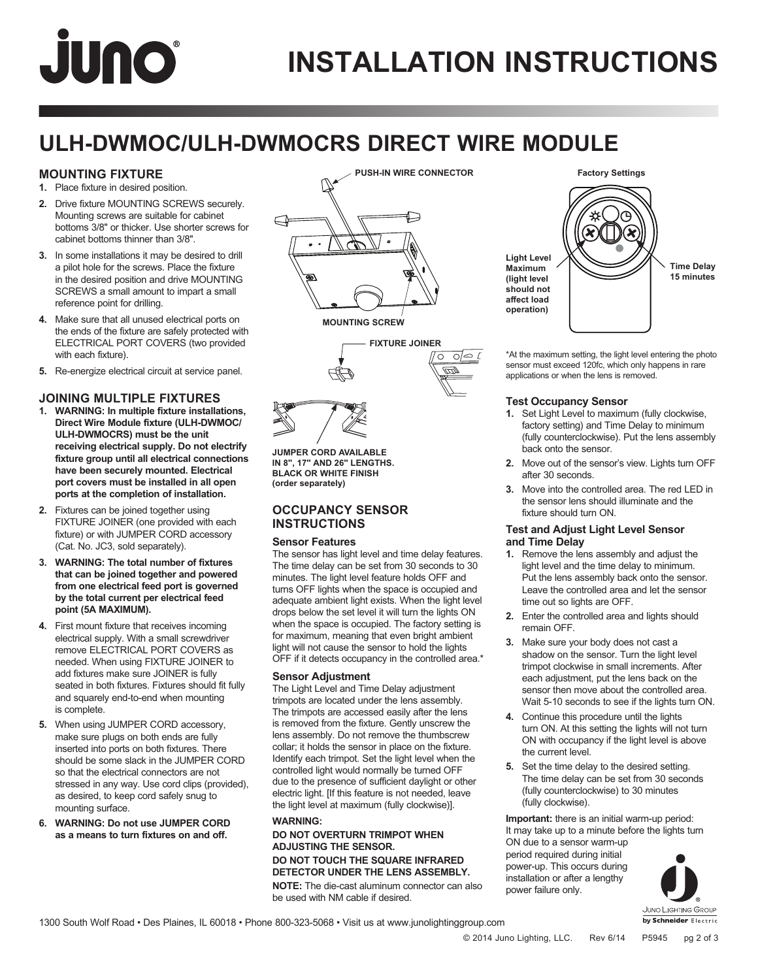# **JUNO**

## **INSTALLATION INSTRUCTIONS**

### **ULH-DWMOC/ULH-DWMOCRS DIRECT WIRE MODULE**

### **MOUNTING FIXTURE**

- **1.** Place fixture in desired position.
- **2.** Drive fixture MOUNTING SCREWS securely. Mounting screws are suitable for cabinet bottoms 3/8" or thicker. Use shorter screws for cabinet bottoms thinner than 3/8".
- **3.** In some installations it may be desired to drill a pilot hole for the screws. Place the fixture in the desired position and drive MOUNTING SCREWS a small amount to impart a small reference point for drilling.
- **4.** Make sure that all unused electrical ports on the ends of the fixture are safely protected with ELECTRICAL PORT COVERS (two provided with each fixture).
- **5.** Re-energize electrical circuit at service panel.

### **JOINING MULTIPLE FIXTURES**

- **1. WARNING: In multiple fixture installations, Direct Wire Module fixture (ULH-DWMOC/ ULH-DWMOCRS) must be the unit receiving electrical supply. Do not electrify fixture group until all electrical connections have been securely mounted. Electrical port covers must be installed in all open ports at the completion of installation.**
- **2.** Fixtures can be joined together using FIXTURE JOINER (one provided with each fixture) or with JUMPER CORD accessory (Cat. No. JC3, sold separately).
- **3. WARNING: The total number of fixtures that can be joined together and powered from one electrical feed port is governed by the total current per electrical feed point (5A MAXIMUM).**
- **4.** First mount fixture that receives incoming electrical supply. With a small screwdriver remove ELECTRICAL PORT COVERS as needed. When using FIXTURE JOINER to add fixtures make sure JOINER is fully seated in both fixtures. Fixtures should fit fully and squarely end-to-end when mounting is complete.
- **5.** When using JUMPER CORD accessory, make sure plugs on both ends are fully inserted into ports on both fixtures. There should be some slack in the JUMPER CORD so that the electrical connectors are not stressed in any way. Use cord clips (provided), as desired, to keep cord safely snug to mounting surface.
- **6. WARNING: Do not use JUMPER CORD as a means to turn fixtures on and off.**





**JUMPER CORD AVAILABLE** 

**IN 8", 17" AND 26" LENGTHS. BLACK OR WHITE FINISH (order separately)**

### **OCCUPANCY SENSOR INSTRUCTIONS**

### **Sensor Features**

The sensor has light level and time delay features. The time delay can be set from 30 seconds to 30 minutes. The light level feature holds OFF and turns OFF lights when the space is occupied and adequate ambient light exists. When the light level drops below the set level it will turn the lights ON when the space is occupied. The factory setting is for maximum, meaning that even bright ambient light will not cause the sensor to hold the lights OFF if it detects occupancy in the controlled area.\*

### **Sensor Adjustment**

The Light Level and Time Delay adjustment trimpots are located under the lens assembly. The trimpots are accessed easily after the lens is removed from the fixture. Gently unscrew the lens assembly. Do not remove the thumbscrew collar; it holds the sensor in place on the fixture. Identify each trimpot. Set the light level when the controlled light would normally be turned OFF due to the presence of sufficient daylight or other electric light. [If this feature is not needed, leave the light level at maximum (fully clockwise)].

### **WARNING:**

#### **DO NOT OVERTURN TRIMPOT WHEN ADJUSTING THE SENSOR. DO NOT TOUCH THE SQUARE INFRARED**

**DETECTOR UNDER THE LENS ASSEMBLY. NOTE:** The die-cast aluminum connector can also

be used with NM cable if desired.



\*At the maximum setting, the light level entering the photo sensor must exceed 120fc, which only happens in rare applications or when the lens is removed.

### **Test Occupancy Sensor**

- **1.** Set Light Level to maximum (fully clockwise, factory setting) and Time Delay to minimum (fully counterclockwise). Put the lens assembly back onto the sensor.
- **2.** Move out of the sensor's view. Lights turn OFF after 30 seconds.
- **3.** Move into the controlled area. The red LED in the sensor lens should illuminate and the fixture should turn ON.

### **Test and Adjust Light Level Sensor and Time Delay**

- **1.** Remove the lens assembly and adjust the light level and the time delay to minimum. Put the lens assembly back onto the sensor. Leave the controlled area and let the sensor time out so lights are OFF.
- **2.** Enter the controlled area and lights should remain OFF.
- **3.** Make sure your body does not cast a shadow on the sensor. Turn the light level trimpot clockwise in small increments. After each adjustment, put the lens back on the sensor then move about the controlled area. Wait 5-10 seconds to see if the lights turn ON.
- **4.** Continue this procedure until the lights turn ON. At this setting the lights will not turn ON with occupancy if the light level is above the current level.
- **5.** Set the time delay to the desired setting. The time delay can be set from 30 seconds (fully counterclockwise) to 30 minutes (fully clockwise).

**Important:** there is an initial warm-up period: It may take up to a minute before the lights turn ON due to a sensor warm-up

period required during initial power-up. This occurs during installation or after a lengthy power failure only.

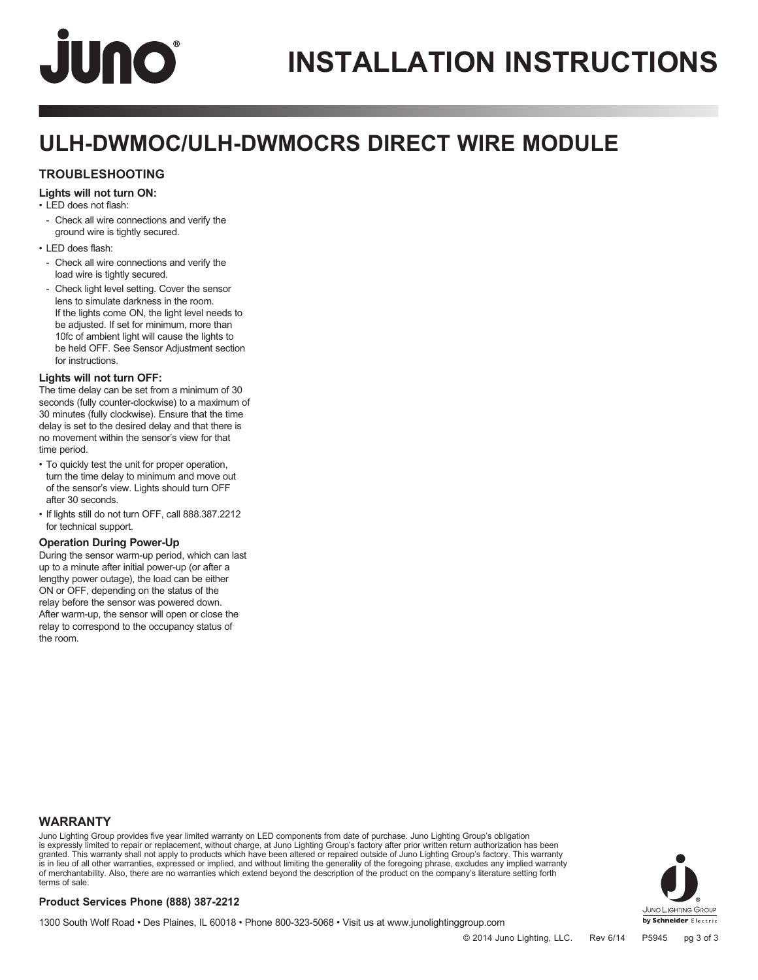# **JUNO**

### **ULH-DWMOC/ULH-DWMOCRS DIRECT WIRE MODULE**

### **TROUBLESHOOTING**

### **Lights will not turn ON:**

• LED does not flash:

- Check all wire connections and verify the ground wire is tightly secured.
- LED does flash:
- Check all wire connections and verify the load wire is tightly secured.
- Check light level setting. Cover the sensor lens to simulate darkness in the room. If the lights come ON, the light level needs to be adjusted. If set for minimum, more than 10fc of ambient light will cause the lights to be held OFF. See Sensor Adjustment section for instructions.

### **Lights will not turn OFF:**

The time delay can be set from a minimum of 30 seconds (fully counter-clockwise) to a maximum of 30 minutes (fully clockwise). Ensure that the time delay is set to the desired delay and that there is no movement within the sensor's view for that time period.

- To quickly test the unit for proper operation, turn the time delay to minimum and move out of the sensor's view. Lights should turn OFF after 30 seconds.
- If lights still do not turn OFF, call 888.387.2212 for technical support.

### **Operation During Power-Up**

During the sensor warm-up period, which can last up to a minute after initial power-up (or after a lengthy power outage), the load can be either ON or OFF, depending on the status of the relay before the sensor was powered down. After warm-up, the sensor will open or close the relay to correspond to the occupancy status of the room.

### **WARRANTY**

Juno Lighting Group provides five year limited warranty on LED components from date of purchase. Juno Lighting Group's obligation is expressly limited to repair or replacement, without charge, at Juno Lighting Group's factory after prior written return authorization has been granted. This warranty shall not apply to products which have been altered or repaired outside of Juno Lighting Group's factory. This warranty is in lieu of all other warranties, expressed or implied, and without limiting the generality of the foregoing phrase, excludes any implied warranty<br>of merchantability. Also, there are no warranties which extend beyond the terms of sale.



1300 South Wolf Road • Des Plaines, IL 60018 • Phone 800-323-5068 • Visit us at www.junolightinggroup.com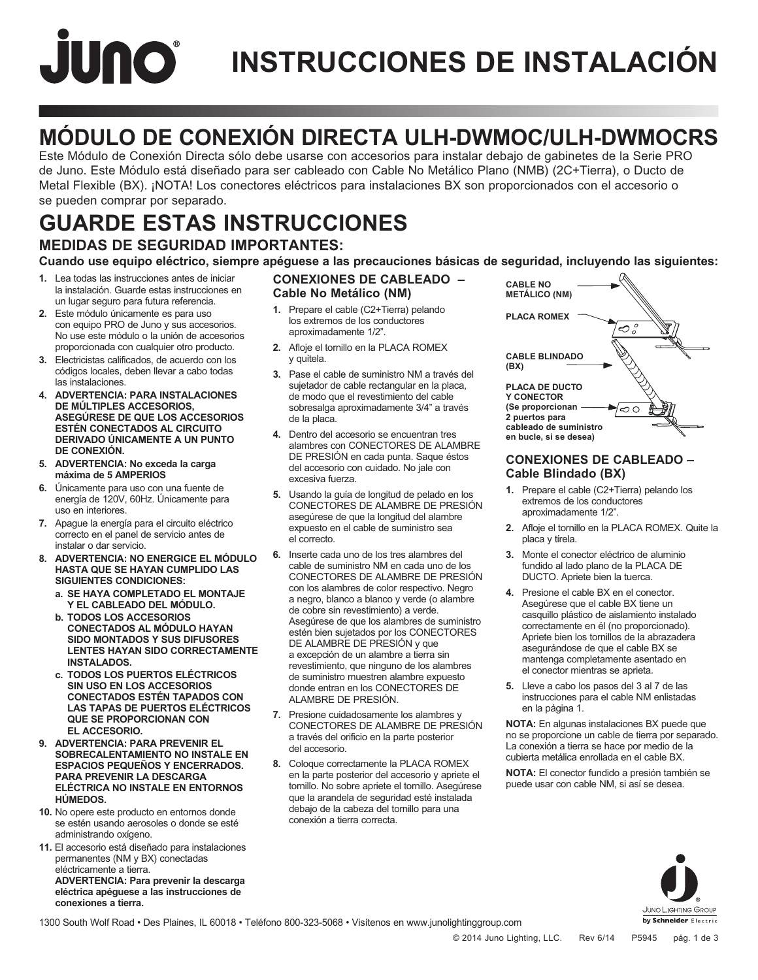# **JUNO INSTRUCCIONES DE INSTALACIÓN**

### **MÓDULO DE CONEXIÓN DIRECTA ULH-DWMOC/ULH-DWMOCRS**

Este Módulo de Conexión Directa sólo debe usarse con accesorios para instalar debajo de gabinetes de la Serie PRO de Juno. Este Módulo está diseñado para ser cableado con Cable No Metálico Plano (NMB) (2C+Tierra), o Ducto de Metal Flexible (BX). ¡NOTA! Los conectores eléctricos para instalaciones BX son proporcionados con el accesorio o se pueden comprar por separado.

### **MEDIDAS DE SEGURIDAD IMPORTANTES: GUARDE ESTAS INSTRUCCIONES**

**Cuando use equipo eléctrico, siempre apéguese a las precauciones básicas de seguridad, incluyendo las siguientes:**

- **1.** Lea todas las instrucciones antes de iniciar la instalación. Guarde estas instrucciones en un lugar seguro para futura referencia.
- **2.** Este módulo únicamente es para uso con equipo PRO de Juno y sus accesorios. No use este módulo o la unión de accesorios proporcionada con cualquier otro producto.
- **3.** Electricistas calificados, de acuerdo con los códigos locales, deben llevar a cabo todas las instalaciones.
- **4. ADVERTENCIA: PARA INSTALACIONES DE MÚLTIPLES ACCESORIOS, ASEGÚRESE DE QUE LOS ACCESORIOS ESTÉN CONECTADOS AL CIRCUITO DERIVADO ÚNICAMENTE A UN PUNTO DE CONEXIÓN.**
- **5. ADVERTENCIA: No exceda la carga máxima de 5 AMPERIOS**
- **6.** Únicamente para uso con una fuente de energía de 120V, 60Hz. Únicamente para uso en interiores.
- **7.** Apague la energía para el circuito eléctrico correcto en el panel de servicio antes de instalar o dar servicio.
- **8. ADVERTENCIA: NO ENERGICE EL MÓDULO HASTA QUE SE HAYAN CUMPLIDO LAS SIGUIENTES CONDICIONES:**
	- **a. SE HAYA COMPLETADO EL MONTAJE Y EL CABLEADO DEL MÓDULO.**
	- **b. TODOS LOS ACCESORIOS CONECTADOS AL MÓDULO HAYAN SIDO MONTADOS Y SUS DIFUSORES LENTES HAYAN SIDO CORRECTAMENTE INSTALADOS.**
	- **c. TODOS LOS PUERTOS ELÉCTRICOS SIN USO EN LOS ACCESORIOS CONECTADOS ESTÉN TAPADOS CON LAS TAPAS DE PUERTOS ELÉCTRICOS QUE SE PROPORCIONAN CON EL ACCESORIO.**
- **9. ADVERTENCIA: PARA PREVENIR EL SOBRECALENTAMIENTO NO INSTALE EN ESPACIOS PEQUEÑOS Y ENCERRADOS. PARA PREVENIR LA DESCARGA ELÉCTRICA NO INSTALE EN ENTORNOS HÚMEDOS.**
- **10.** No opere este producto en entornos donde se estén usando aerosoles o donde se esté administrando oxígeno.
- **11.** El accesorio está diseñado para instalaciones permanentes (NM y BX) conectadas eléctricamente a tierra. **ADVERTENCIA: Para prevenir la descarga eléctrica apéguese a las instrucciones de conexiones a tierra.**

### **CONEXIONES DE CABLEADO – Cable No Metálico (NM)**

- **1.** Prepare el cable (C2+Tierra) pelando los extremos de los conductores aproximadamente 1/2".
- **2.** Afloje el tornillo en la PLACA ROMEX y quítela.
- **3.** Pase el cable de suministro NM a través del sujetador de cable rectangular en la placa, de modo que el revestimiento del cable sobresalga aproximadamente 3/4" a través de la placa.
- **4.** Dentro del accesorio se encuentran tres alambres con CONECTORES DE ALAMBRE DE PRESIÓN en cada punta. Saque éstos del accesorio con cuidado. No jale con excesiva fuerza.
- **5.** Usando la guía de longitud de pelado en los CONECTORES DE ALAMBRE DE PRESIÓN asegúrese de que la longitud del alambre expuesto en el cable de suministro sea el correcto.
- **6.** Inserte cada uno de los tres alambres del cable de suministro NM en cada uno de los CONECTORES DE ALAMBRE DE PRESIÓN con los alambres de color respectivo. Negro a negro, blanco a blanco y verde (o alambre de cobre sin revestimiento) a verde. Asegúrese de que los alambres de suministro estén bien sujetados por los CONECTORES DE ALAMBRE DE PRESIÓN y que a excepción de un alambre a tierra sin revestimiento, que ninguno de los alambres de suministro muestren alambre expuesto donde entran en los CONECTORES DE ALAMBRE DE PRESIÓN.
- **7.** Presione cuidadosamente los alambres y CONECTORES DE ALAMBRE DE PRESIÓN a través del orificio en la parte posterior del accesorio.
- **8.** Coloque correctamente la PLACA ROMEX en la parte posterior del accesorio y apriete el tornillo. No sobre apriete el tornillo. Asegúrese que la arandela de seguridad esté instalada debajo de la cabeza del tornillo para una conexión a tierra correcta.



### **CONEXIONES DE CABLEADO – Cable Blindado (BX)**

- **1.** Prepare el cable (C2+Tierra) pelando los extremos de los conductores aproximadamente 1/2".
- **2.** Afloje el tornillo en la PLACA ROMEX. Quite la placa y tírela.
- **3.** Monte el conector eléctrico de aluminio fundido al lado plano de la PLACA DE DUCTO. Apriete bien la tuerca.
- **4.** Presione el cable BX en el conector. Asegúrese que el cable BX tiene un casquillo plástico de aislamiento instalado correctamente en él (no proporcionado). Apriete bien los tornillos de la abrazadera asegurándose de que el cable BX se mantenga completamente asentado en el conector mientras se aprieta.
- **5.** Lleve a cabo los pasos del 3 al 7 de las instrucciones para el cable NM enlistadas en la página 1.

**NOTA:** En algunas instalaciones BX puede que no se proporcione un cable de tierra por separado. La conexión a tierra se hace por medio de la cubierta metálica enrollada en el cable BX.

**NOTA:** El conector fundido a presión también se puede usar con cable NM, si así se desea.



1300 South Wolf Road • Des Plaines, IL 60018 • Teléfono 800-323-5068 • Visítenos en www.junolightinggroup.com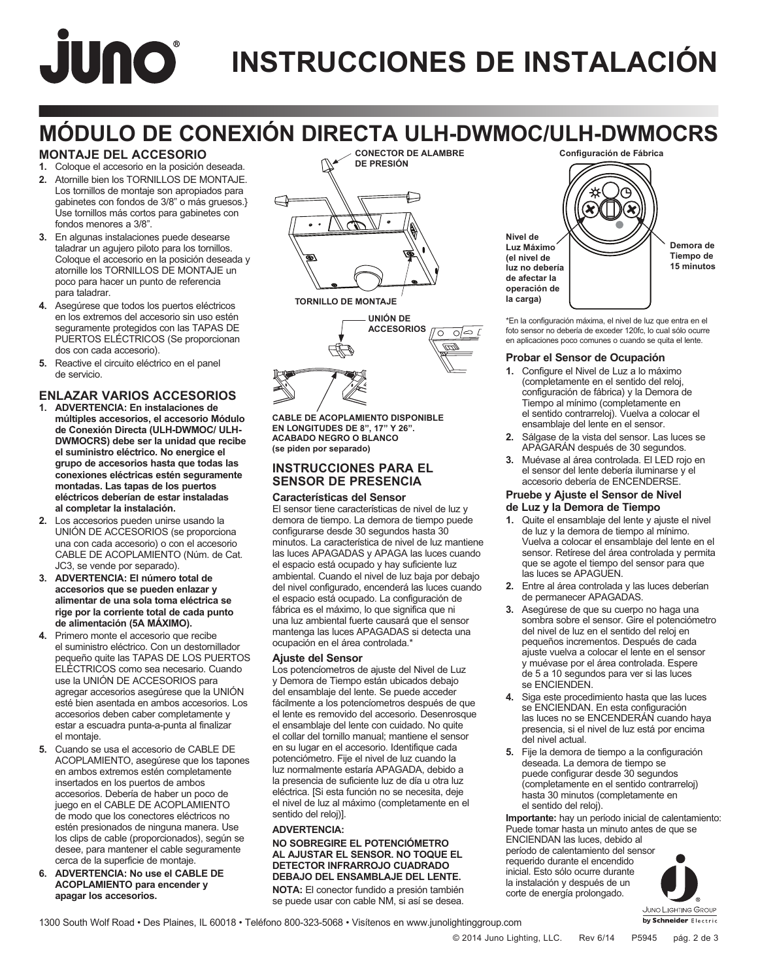# JUNO® **INSTRUCCIONES DE INSTALACIÓN**

### **MÓDULO DE CONEXIÓN DIRECTA ULH-DWMOC/ULH-DWMOCRS CONECTOR DE ALAMBRE**

### **MONTAJE DEL ACCESORIO**

- **1.** Coloque el accesorio en la posición deseada. **2.** Atornille bien los TORNILLOS DE MONTAJE.
- Los tornillos de montaje son apropiados para gabinetes con fondos de 3/8" o más gruesos.} Use tornillos más cortos para gabinetes con fondos menores a 3/8".
- **3.** En algunas instalaciones puede desearse taladrar un agujero piloto para los tornillos. Coloque el accesorio en la posición deseada y atornille los TORNILLOS DE MONTAJE un poco para hacer un punto de referencia para taladrar.
- **4.** Asegúrese que todos los puertos eléctricos en los extremos del accesorio sin uso estén seguramente protegidos con las TAPAS DE PUERTOS ELÉCTRICOS (Se proporcionan dos con cada accesorio).
- **5.** Reactive el circuito eléctrico en el panel de servicio.

### **ENLAZAR VARIOS ACCESORIOS**

- **1. ADVERTENCIA: En instalaciones de múltiples accesorios, el accesorio Módulo de Conexión Directa (ULH-DWMOC/ ULH-DWMOCRS) debe ser la unidad que recibe el suministro eléctrico. No energice el grupo de accesorios hasta que todas las conexiones eléctricas estén seguramente montadas. Las tapas de los puertos eléctricos deberían de estar instaladas al completar la instalación.**
- **2.** Los accesorios pueden unirse usando la UNIÓN DE ACCESORIOS (se proporciona una con cada accesorio) o con el accesorio CABLE DE ACOPLAMIENTO (Núm. de Cat. JC3, se vende por separado).
- **3. ADVERTENCIA: El número total de accesorios que se pueden enlazar y alimentar de una sola toma eléctrica se rige por la corriente total de cada punto de alimentación (5A MÁXIMO).**
- **4.** Primero monte el accesorio que recibe el suministro eléctrico. Con un destornillador pequeño quite las TAPAS DE LOS PUERTOS ELÉCTRICOS como sea necesario. Cuando use la UNIÓN DE ACCESORIOS para agregar accesorios asegúrese que la UNIÓN esté bien asentada en ambos accesorios. Los accesorios deben caber completamente y estar a escuadra punta-a-punta al finalizar el montaje.
- **5.** Cuando se usa el accesorio de CABLE DE ACOPLAMIENTO, asegúrese que los tapones en ambos extremos estén completamente insertados en los puertos de ambos accesorios. Debería de haber un poco de juego en el CABLE DE ACOPLAMIENTO de modo que los conectores eléctricos no estén presionados de ninguna manera. Use los clips de cable (proporcionados), según se desee, para mantener el cable seguramente cerca de la superficie de montaje.
- **6. ADVERTENCIA: No use el CABLE DE ACOPLAMIENTO para encender y apagar los accesorios.**



**CABLE DE ACOPLAMIENTO DISPONIBLE EN LONGITUDES DE 8", 17" Y 26". ACABADO NEGRO O BLANCO (se piden por separado)**

### **INSTRUCCIONES PARA EL SENSOR DE PRESENCIA**

### **Características del Sensor**

El sensor tiene características de nivel de luz y demora de tiempo. La demora de tiempo puede configurarse desde 30 segundos hasta 30 minutos. La característica de nivel de luz mantiene las luces APAGADAS y APAGA las luces cuando el espacio está ocupado y hay suficiente luz ambiental. Cuando el nivel de luz baja por debajo del nivel configurado, encenderá las luces cuando el espacio está ocupado. La configuración de fábrica es el máximo, lo que significa que ni una luz ambiental fuerte causará que el sensor mantenga las luces APAGADAS si detecta una ocupación en el área controlada.\*

### **Ajuste del Sensor**

Los potencíometros de ajuste del Nivel de Luz y Demora de Tiempo están ubicados debajo del ensamblaje del lente. Se puede acceder fácilmente a los potencíometros después de que el lente es removido del accesorio. Desenrosque el ensamblaje del lente con cuidado. No quite el collar del tornillo manual; mantiene el sensor en su lugar en el accesorio. Identifique cada potenciómetro. Fije el nivel de luz cuando la luz normalmente estaría APAGADA, debido a la presencia de suficiente luz de día u otra luz eléctrica. [Si esta función no se necesita, deje el nivel de luz al máximo (completamente en el sentido del reloj)].

### **ADVERTENCIA:**

#### **NO SOBREGIRE EL POTENCIÓMETRO AL AJUSTAR EL SENSOR. NO TOQUE EL DETECTOR INFRARROJO CUADRADO DEBAJO DEL ENSAMBLAJE DEL LENTE. NOTA:** El conector fundido a presión también

se puede usar con cable NM, si así se desea.



**Tiempo de 15 minutos**

\*En la configuración máxima, el nivel de luz que entra en el foto sensor no debería de exceder 120fc, lo cual sólo ocurre en aplicaciones poco comunes o cuando se quita el lente.

### **Probar el Sensor de Ocupación**

- **1.** Configure el Nivel de Luz a lo máximo (completamente en el sentido del reloj, configuración de fábrica) y la Demora de Tiempo al mínimo (completamente en el sentido contrarreloj). Vuelva a colocar el ensamblaje del lente en el sensor.
- **2.** Sálgase de la vista del sensor. Las luces se APAGARÁN después de 30 segundos.
- **3.** Muévase al área controlada. El LED rojo en el sensor del lente debería iluminarse y el accesorio debería de ENCENDERSE.

#### **Pruebe y Ajuste el Sensor de Nivel de Luz y la Demora de Tiempo**

- **1.** Quite el ensamblaje del lente y ajuste el nivel de luz y la demora de tiempo al mínimo. Vuelva a colocar el ensamblaje del lente en el sensor. Retírese del área controlada y permita que se agote el tiempo del sensor para que las luces se APAGUEN.
- **2.** Entre al área controlada y las luces deberían de permanecer APAGADAS.
- **3.** Asegúrese de que su cuerpo no haga una sombra sobre el sensor. Gire el potenciómetro del nivel de luz en el sentido del reloj en pequeños incrementos. Después de cada ajuste vuelva a colocar el lente en el sensor y muévase por el área controlada. Espere de 5 a 10 segundos para ver si las luces se ENCIENDEN.
- **4.** Siga este procedimiento hasta que las luces se ENCIENDAN. En esta configuración las luces no se ENCENDERÁN cuando haya presencia, si el nivel de luz está por encima del nivel actual.
- **5.** Fije la demora de tiempo a la configuración deseada. La demora de tiempo se puede configurar desde 30 segundos (completamente en el sentido contrarreloj) hasta 30 minutos (completamente en el sentido del reloj).

**Importante:** hay un período inicial de calentamiento: Puede tomar hasta un minuto antes de que se ENCIENDAN las luces, debido al período de calentamiento del sensor requerido durante el encendido inicial. Esto sólo ocurre durante la instalación y después de un corte de energía prolongado.



1300 South Wolf Road • Des Plaines, IL 60018 • Teléfono 800-323-5068 • Visítenos en www.junolightinggroup.com